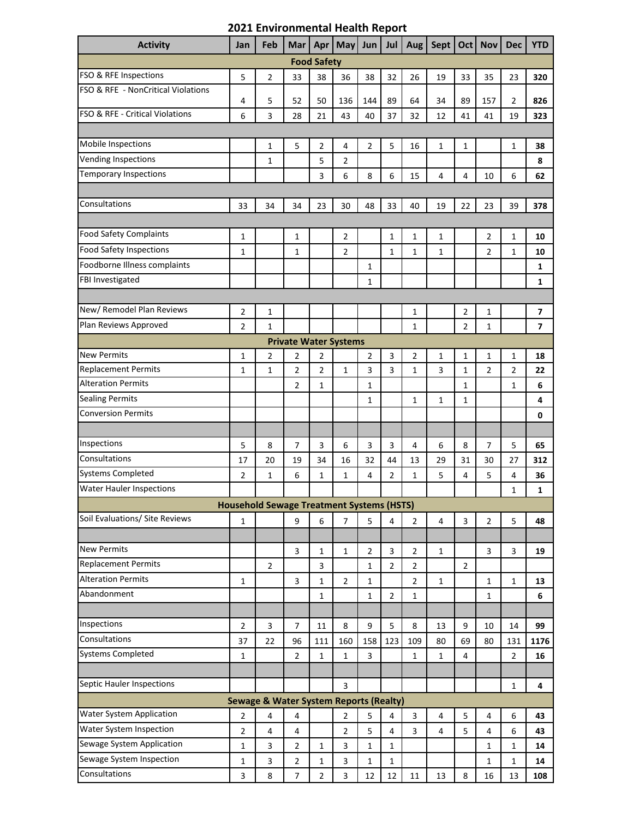| <b>Activity</b>                                                                                                              | Jan          | Feb                                              | Mar                          | Apr            | May            | Jun            | Jul            | <b>Aug</b>     | Sept           | <b>Oct</b>     | <b>Nov</b>     | <b>Dec</b>     | <b>YTD</b>              |
|------------------------------------------------------------------------------------------------------------------------------|--------------|--------------------------------------------------|------------------------------|----------------|----------------|----------------|----------------|----------------|----------------|----------------|----------------|----------------|-------------------------|
| <b>Food Safety</b>                                                                                                           |              |                                                  |                              |                |                |                |                |                |                |                |                |                |                         |
| FSO & RFE Inspections                                                                                                        | 5            | $\overline{2}$                                   | 33                           | 38             | 36             | 38             | 32             | 26             | 19             | 33             | 35             | 23             | 320                     |
| FSO & RFE - NonCritical Violations                                                                                           | 4            | 5                                                | 52                           | 50             | 136            | 144            | 89             | 64             | 34             | 89             | 157            | $\overline{2}$ | 826                     |
| FSO & RFE - Critical Violations                                                                                              | 6            | 3                                                | 28                           | 21             | 43             | 40             | 37             | 32             | 12             | 41             | 41             | 19             | 323                     |
|                                                                                                                              |              |                                                  |                              |                |                |                |                |                |                |                |                |                |                         |
| Mobile Inspections                                                                                                           |              | $\mathbf{1}$                                     | 5                            | 2              | 4              | 2              | 5              | 16             | $\mathbf 1$    | 1              |                | $\mathbf{1}$   | 38                      |
| <b>Vending Inspections</b>                                                                                                   |              | $\mathbf{1}$                                     |                              | 5              | 2              |                |                |                |                |                |                |                | 8                       |
| <b>Temporary Inspections</b>                                                                                                 |              |                                                  |                              | 3              | 6              | 8              | 6              | 15             | 4              | 4              | 10             | 6              | 62                      |
|                                                                                                                              |              |                                                  |                              |                |                |                |                |                |                |                |                |                |                         |
| Consultations                                                                                                                | 33           | 34                                               | 34                           | 23             | 30             | 48             | 33             | 40             | 19             | 22             | 23             | 39             | 378                     |
|                                                                                                                              |              |                                                  |                              |                |                |                |                |                |                |                |                |                |                         |
| <b>Food Safety Complaints</b>                                                                                                | 1            |                                                  | $\mathbf 1$                  |                | 2              |                | $\mathbf{1}$   | 1              | 1              |                | $\overline{2}$ | $\mathbf 1$    | 10                      |
| <b>Food Safety Inspections</b>                                                                                               | 1            |                                                  | $\mathbf 1$                  |                | $\overline{2}$ |                | $\mathbf{1}$   | $\mathbf{1}$   | $\mathbf{1}$   |                | $\overline{2}$ | $\mathbf{1}$   | 10                      |
| Foodborne Illness complaints                                                                                                 |              |                                                  |                              |                |                | 1              |                |                |                |                |                |                | 1                       |
| FBI Investigated                                                                                                             |              |                                                  |                              |                |                | 1              |                |                |                |                |                |                | 1                       |
|                                                                                                                              |              |                                                  |                              |                |                |                |                |                |                |                |                |                |                         |
| New/ Remodel Plan Reviews                                                                                                    | 2            | $\mathbf 1$                                      |                              |                |                |                |                | 1              |                | $\overline{2}$ | 1              |                | $\overline{\mathbf{z}}$ |
| Plan Reviews Approved                                                                                                        | 2            | $\mathbf{1}$                                     |                              |                |                |                |                | $\mathbf{1}$   |                | 2              | $\mathbf{1}$   |                | $\overline{7}$          |
|                                                                                                                              |              |                                                  | <b>Private Water Systems</b> |                |                |                |                |                |                |                |                |                |                         |
| <b>New Permits</b>                                                                                                           | 1            | 2                                                | $\overline{2}$               | 2              |                | 2              | 3              | $\overline{2}$ | 1              | 1              | $\mathbf{1}$   | 1              | 18                      |
| <b>Replacement Permits</b>                                                                                                   | 1            | $\mathbf{1}$                                     | $\overline{2}$               | 2              | 1              | 3              | 3              | $\mathbf{1}$   | 3              | 1              | $\overline{2}$ | 2              | 22                      |
| <b>Alteration Permits</b>                                                                                                    |              |                                                  | 2                            | $\mathbf{1}$   |                | $\mathbf 1$    |                |                |                | $\mathbf{1}$   |                | $\mathbf 1$    | 6                       |
| <b>Sealing Permits</b>                                                                                                       |              |                                                  |                              |                |                | $\mathbf{1}$   |                | $\mathbf{1}$   | $\mathbf{1}$   | $\mathbf{1}$   |                |                | 4                       |
| <b>Conversion Permits</b>                                                                                                    |              |                                                  |                              |                |                |                |                |                |                |                |                |                | 0                       |
|                                                                                                                              |              |                                                  |                              |                |                |                |                |                |                |                |                |                |                         |
| Inspections                                                                                                                  | 5            | 8                                                | 7                            | 3              | 6              | 3              | 3              | 4              | 6              | 8              | 7              | 5              | 65                      |
| Consultations                                                                                                                | 17           | 20                                               | 19                           | 34             | 16             | 32             | 44             | 13             | 29             | 31             | 30             | 27             | 312                     |
| <b>Systems Completed</b>                                                                                                     | 2            | 1                                                | 6                            | $\mathbf{1}$   | 1              | $\overline{4}$ | $\overline{2}$ | $\mathbf{1}$   | 5              | 4              | 5              | 4              | 36                      |
| <b>Water Hauler Inspections</b>                                                                                              |              |                                                  |                              |                |                |                |                |                |                |                |                | 1              | 1                       |
|                                                                                                                              |              | <b>Household Sewage Treatment Systems (HSTS)</b> |                              |                |                |                |                |                |                |                |                |                |                         |
| Soil Evaluations/ Site Reviews                                                                                               | 1            |                                                  | 9                            | 6              | 7              | 5              | 4              | $\overline{2}$ | $\overline{4}$ | 3              | $\overline{2}$ | 5              | 48                      |
|                                                                                                                              |              |                                                  |                              |                |                |                |                |                |                |                |                |                |                         |
| <b>New Permits</b>                                                                                                           |              |                                                  | 3                            | 1              | 1              | $\overline{2}$ | 3              | 2              | $\mathbf{1}$   |                | 3              | 3              | 19                      |
| <b>Replacement Permits</b>                                                                                                   |              | $\overline{2}$                                   |                              | 3              |                | $\mathbf{1}$   | $\overline{2}$ | $\overline{2}$ |                | $\overline{2}$ |                |                |                         |
| <b>Alteration Permits</b>                                                                                                    | 1            |                                                  | 3                            | 1              | $\overline{2}$ | $\mathbf{1}$   |                | $\overline{2}$ | $\mathbf{1}$   |                | $\mathbf{1}$   | $\mathbf{1}$   | 13                      |
| Abandonment                                                                                                                  |              |                                                  |                              | $\mathbf{1}$   |                | $\mathbf{1}$   | $\overline{2}$ | $\mathbf{1}$   |                |                | $\mathbf{1}$   |                | 6                       |
|                                                                                                                              |              |                                                  |                              |                |                |                |                |                |                |                |                |                |                         |
| Inspections                                                                                                                  | 2            | 3                                                | 7                            | 11             | 8              | 9              | 5              | 8              | 13             | 9              | 10             | 14             | 99                      |
| Consultations                                                                                                                | 37           | 22                                               | 96                           | 111            | 160            | 158            | 123            | 109            | 80             | 69             | 80             | 131            | 1176                    |
| <b>Systems Completed</b>                                                                                                     | 1            |                                                  | $\overline{2}$               | $\mathbf{1}$   | $\mathbf{1}$   | 3              |                | 1              | $\mathbf{1}$   | 4              |                | 2              | 16                      |
|                                                                                                                              |              |                                                  |                              |                |                |                |                |                |                |                |                |                |                         |
| Septic Hauler Inspections                                                                                                    |              |                                                  |                              |                | 3              |                |                |                |                |                |                | 1              | 4                       |
| <b>Sewage &amp; Water System Reports (Realty)</b>                                                                            |              |                                                  |                              |                |                |                |                |                |                |                |                |                |                         |
| Water System Application<br>$\overline{2}$<br>5<br>$\overline{2}$<br>4<br>$\overline{4}$<br>4<br>3<br>4<br>5<br>4<br>6<br>43 |              |                                                  |                              |                |                |                |                |                |                |                |                |                |                         |
| Water System Inspection                                                                                                      | 2            | 4                                                | 4                            |                | 2              | 5              | 4              | 3              | 4              | 5              | 4              | 6              | 43                      |
| Sewage System Application                                                                                                    | $\mathbf{1}$ | 3                                                | $\overline{2}$               | $\mathbf{1}$   | 3              | $\mathbf{1}$   | $\mathbf{1}$   |                |                |                | 1              | 1              | 14                      |
| Sewage System Inspection                                                                                                     | 1            | 3                                                | $\overline{2}$               | $\mathbf{1}$   | 3              | 1              | $\mathbf{1}$   |                |                |                | 1              | 1              | 14                      |
| Consultations                                                                                                                | 3            | 8                                                | 7                            | $\overline{2}$ | 3              | 12             | 12             | 11             | 13             | 8              | 16             | 13             | 108                     |